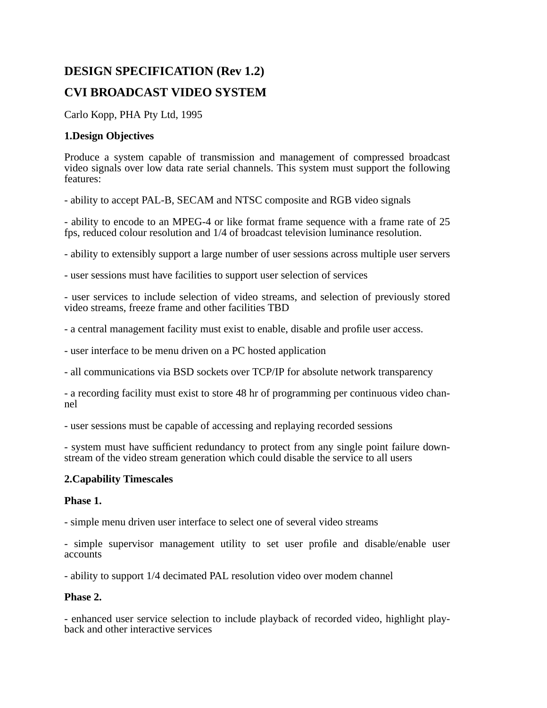# **DESIGN SPECIFICATION (Rev 1.2) CVI BROADCAST VIDEO SYSTEM**

Carlo Kopp, PHA Pty Ltd, 1995

## **1.Design Objectives**

Produce a system capable of transmission and management of compressed broadcast video signals over low data rate serial channels. This system must support the following features:

- ability to accept PAL-B, SECAM and NTSC composite and RGB video signals

- ability to encode to an MPEG-4 or like format frame sequence with a frame rate of 25 fps, reduced colour resolution and 1/4 of broadcast television luminance resolution.

- ability to extensibly support a large number of user sessions across multiple user servers

- user sessions must have facilities to support user selection of services

- user services to include selection of video streams, and selection of previously stored video streams, freeze frame and other facilities TBD

- a central management facility must exist to enable, disable and profile user access.

- user interface to be menu driven on a PC hosted application

- all communications via BSD sockets over TCP/IP for absolute network transparency

- a recording facility must exist to store 48 hr of programming per continuous video channel

- user sessions must be capable of accessing and replaying recorded sessions

- system must have sufficient redundancy to protect from any single point failure downstream of the video stream generation which could disable the service to all users

## **2.Capability Timescales**

## **Phase 1.**

- simple menu driven user interface to select one of several video streams

- simple supervisor management utility to set user profile and disable/enable user accounts

- ability to support 1/4 decimated PAL resolution video over modem channel

## **Phase 2.**

- enhanced user service selection to include playback of recorded video, highlight playback and other interactive services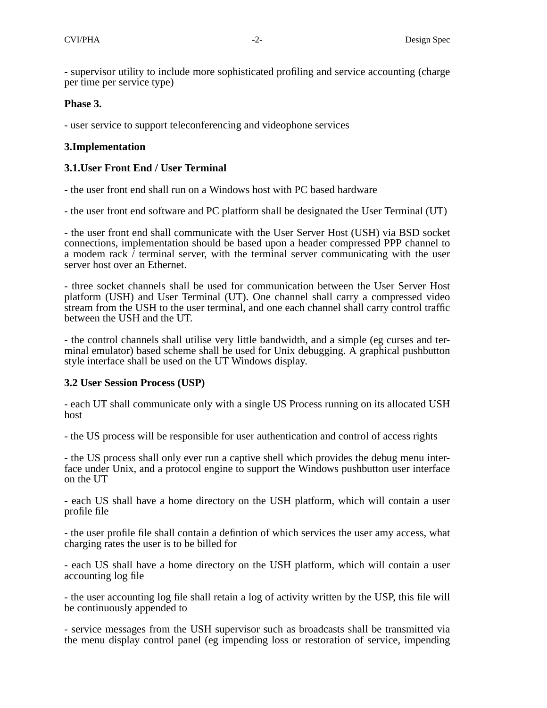- supervisor utility to include more sophisticated profiling and service accounting (charge per time per service type)

#### **Phase 3.**

- user service to support teleconferencing and videophone services

#### **3.Implementation**

### **3.1.User Front End / User Terminal**

- the user front end shall run on a Windows host with PC based hardware

- the user front end software and PC platform shall be designated the User Terminal (UT)

- the user front end shall communicate with the User Server Host (USH) via BSD socket connections, implementation should be based upon a header compressed PPP channel to a modem rack  $\bar{\ell}$  terminal server, with the terminal server communicating with the user server host over an Ethernet.

- three socket channels shall be used for communication between the User Server Host platform (USH) and User Terminal (UT). One channel shall carry a compressed video stream from the USH to the user terminal, and one each channel shall carry control traffic between the USH and the UT.

- the control channels shall utilise very little bandwidth, and a simple (eg curses and terminal emulator) based scheme shall be used for Unix debugging. A graphical pushbutton style interface shall be used on the UT Windows display.

#### **3.2 User Session Process (USP)**

- each UT shall communicate only with a single US Process running on its allocated USH host

- the US process will be responsible for user authentication and control of access rights

- the US process shall only ever run a captive shell which provides the debug menu interface under Unix, and a protocol engine to support the Windows pushbutton user interface on the UT

- each US shall have a home directory on the USH platform, which will contain a user profile file

- the user profile file shall contain a defintion of which services the user amy access, what charging rates the user is to be billed for

- each US shall have a home directory on the USH platform, which will contain a user accounting log file

- the user accounting log file shall retain a log of activity written by the USP, this file will be continuously appended to

- service messages from the USH supervisor such as broadcasts shall be transmitted via the menu display control panel (eg impending loss or restoration of service, impending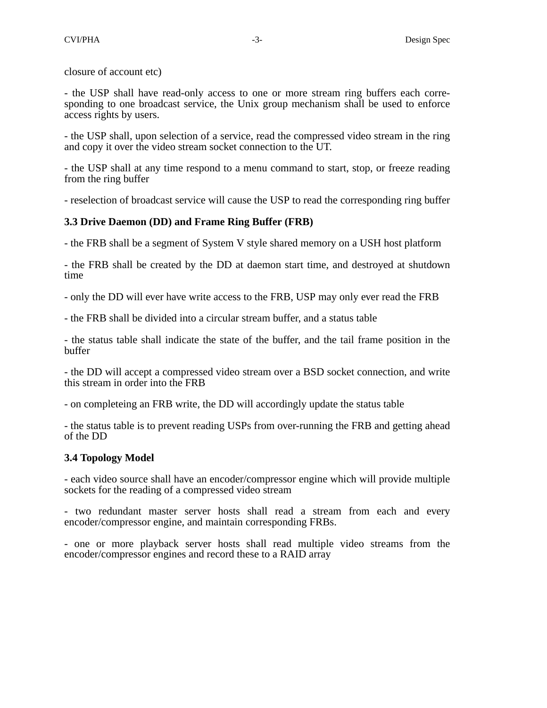closure of account etc)

- the USP shall have read-only access to one or more stream ring buffers each corresponding to one broadcast service, the Unix group mechanism shall be used to enforce access rights by users.

- the USP shall, upon selection of a service, read the compressed video stream in the ring and copy it over the video stream socket connection to the UT.

- the USP shall at any time respond to a menu command to start, stop, or freeze reading from the ring buffer

- reselection of broadcast service will cause the USP to read the corresponding ring buffer

#### **3.3 Drive Daemon (DD) and Frame Ring Buffer (FRB)**

- the FRB shall be a segment of System V style shared memory on a USH host platform

- the FRB shall be created by the DD at daemon start time, and destroyed at shutdown time

- only the DD will ever have write access to the FRB, USP may only ever read the FRB

- the FRB shall be divided into a circular stream buffer, and a status table

- the status table shall indicate the state of the buffer, and the tail frame position in the buffer

- the DD will accept a compressed video stream over a BSD socket connection, and write this stream in order into the FRB

- on completeing an FRB write, the DD will accordingly update the status table

- the status table is to prevent reading USPs from over-running the FRB and getting ahead of the DD

#### **3.4 Topology Model**

- each video source shall have an encoder/compressor engine which will provide multiple sockets for the reading of a compressed video stream

- two redundant master server hosts shall read a stream from each and every encoder/compressor engine, and maintain corresponding FRBs.

- one or more playback server hosts shall read multiple video streams from the encoder/compressor engines and record these to a RAID array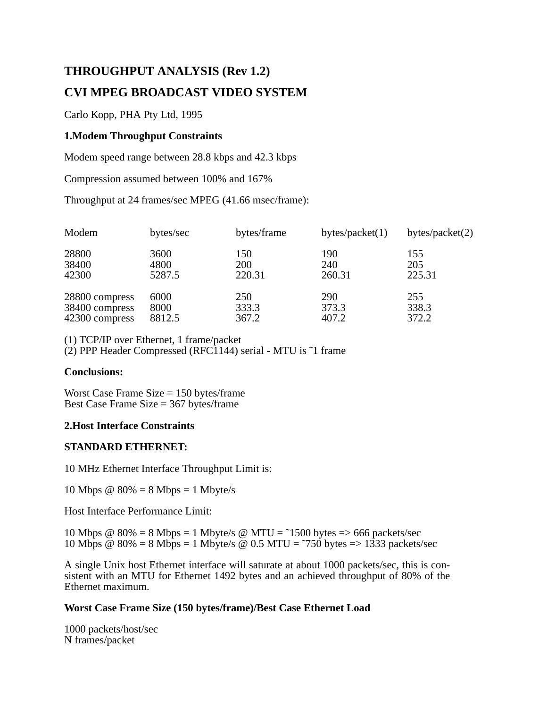# **THROUGHPUT ANALYSIS (Rev 1.2) CVI MPEG BROADCAST VIDEO SYSTEM**

Carlo Kopp, PHA Pty Ltd, 1995

## **1.Modem Throughput Constraints**

Modem speed range between 28.8 kbps and 42.3 kbps

Compression assumed between 100% and 167%

Throughput at 24 frames/sec MPEG (41.66 msec/frame):

| Modem          | bytes/sec | bytes/frame | bytes/packet $(1)$ | bytes/packet $(2)$ |
|----------------|-----------|-------------|--------------------|--------------------|
| 28800          | 3600      | 150         | 190                | 155                |
| 38400          | 4800      | 200         | 240                | 205                |
| 42300          | 5287.5    | 220.31      | 260.31             | 225.31             |
| 28800 compress | 6000      | 250         | 290                | 255                |
| 38400 compress | 8000      | 333.3       | 373.3              | 338.3              |
| 42300 compress | 8812.5    | 367.2       | 407.2              | 372.2              |

(1) TCP/IP over Ethernet, 1 frame/packet

(2) PPP Header Compressed (RFC1144) serial - MTU is ˜1 frame

#### **Conclusions:**

Worst Case Frame Size = 150 bytes/frame Best Case Frame Size = 367 bytes/frame

## **2.Host Interface Constraints**

## **STANDARD ETHERNET:**

10 MHz Ethernet Interface Throughput Limit is:

10 Mbps  $@ 80\% = 8 \text{ Mbps} = 1 \text{ Mbyte/s}$ 

Host Interface Performance Limit:

10 Mbps  $\omega$  80% = 8 Mbps = 1 Mbyte/s  $\omega$  MTU = ~1500 bytes => 666 packets/sec 10 Mbps  $\omega$  80% = 8 Mbps = 1 Mbyte/s  $\omega$  0.5 MTU = ~750 bytes => 1333 packets/sec

A single Unix host Ethernet interface will saturate at about 1000 packets/sec, this is consistent with an MTU for Ethernet 1492 bytes and an achieved throughput of 80% of the Ethernet maximum.

## **Worst Case Frame Size (150 bytes/frame)/Best Case Ethernet Load**

1000 packets/host/sec N frames/packet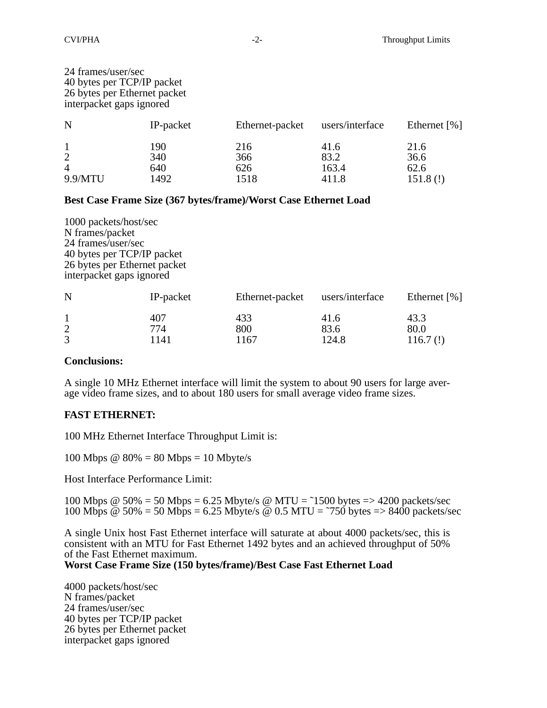| 24 frames/user/sec<br>40 bytes per TCP/IP packet<br>26 bytes per Ethernet packet<br>interpacket gaps ignored |                           |                           |                                |                                 |
|--------------------------------------------------------------------------------------------------------------|---------------------------|---------------------------|--------------------------------|---------------------------------|
| N                                                                                                            | IP-packet                 | Ethernet-packet           | users/interface                | Ethernet $\lceil \% \rceil$     |
| $\mathbf{1}$<br>$\overline{2}$<br>$\overline{4}$<br>9.9/MTU                                                  | 190<br>340<br>640<br>1492 | 216<br>366<br>626<br>1518 | 41.6<br>83.2<br>163.4<br>411.8 | 21.6<br>36.6<br>62.6<br>151.8() |

#### **Best Case Frame Size (367 bytes/frame)/Worst Case Ethernet Load**

| 1000 packets/host/sec<br>N frames/packet<br>24 frames/user/sec<br>40 bytes per TCP/IP packet<br>26 bytes per Ethernet packet<br>interpacket gaps ignored |                    |                    |                       |                         |
|----------------------------------------------------------------------------------------------------------------------------------------------------------|--------------------|--------------------|-----------------------|-------------------------|
| N                                                                                                                                                        | IP-packet          | Ethernet-packet    | users/interface       | Ethernet $[%]$          |
| $\mathbf{1}$<br>$\overline{c}$<br>3                                                                                                                      | 407<br>774<br>1141 | 433<br>800<br>1167 | 41.6<br>83.6<br>124.8 | 43.3<br>80.0<br>116.7() |

#### **Conclusions:**

A single 10 MHz Ethernet interface will limit the system to about 90 users for large average video frame sizes, and to about 180 users for small average video frame sizes.

## **FAST ETHERNET:**

100 MHz Ethernet Interface Throughput Limit is:

100 Mbps  $\omega$  80% = 80 Mbps = 10 Mbyte/s

Host Interface Performance Limit:

100 Mbps  $\omega$  50% = 50 Mbps = 6.25 Mbyte/s  $\omega$  MTU = ~1500 bytes => 4200 packets/sec 100 Mbps  $\omega$  50% = 50 Mbps = 6.25 Mbyte/s  $\omega$  0.5 MTU = ~750 bytes => 8400 packets/sec

A single Unix host Fast Ethernet interface will saturate at about 4000 packets/sec, this is consistent with an MTU for Fast Ethernet 1492 bytes and an achieved throughput of 50% of the Fast Ethernet maximum.

**Worst Case Frame Size (150 bytes/frame)/Best Case Fast Ethernet Load**

4000 packets/host/sec N frames/packet 24 frames/user/sec 40 bytes per TCP/IP packet 26 bytes per Ethernet packet interpacket gaps ignored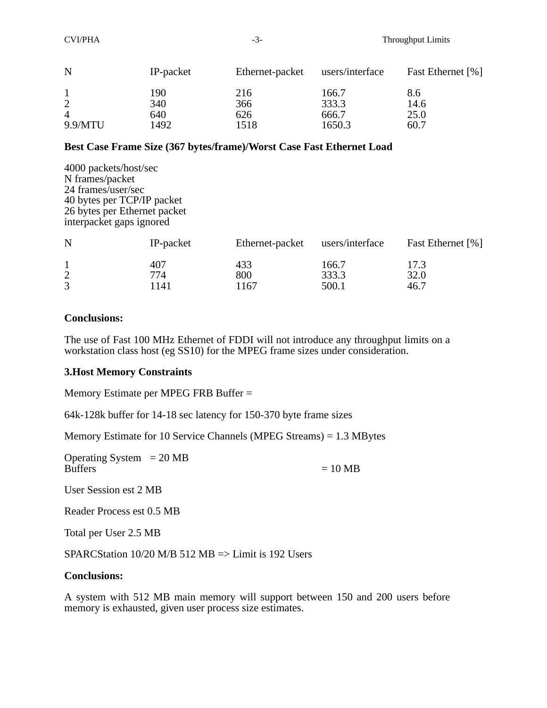| N              | IP-packet | Ethernet-packet | users/interface | Fast Ethernet [%] |
|----------------|-----------|-----------------|-----------------|-------------------|
|                | 190       | 216             | 166.7           | 8.6               |
| 2              | 340       | 366             | 333.3           | 14.6              |
| $\overline{A}$ | 640       | 626             | 666.7           | 25.0              |
| 9.9/MTU        | 1492      | 1518            | 1650.3          | 60.7              |

#### **Best Case Frame Size (367 bytes/frame)/Worst Case Fast Ethernet Load**

4000 packets/host/sec N frames/packet 24 frames/user/sec 40 bytes per TCP/IP packet 26 bytes per Ethernet packet interpacket gaps ignored

| N | IP-packet  | Ethernet-packet | users/interface | Fast Ethernet [%] |
|---|------------|-----------------|-----------------|-------------------|
|   | 407<br>774 | 433<br>800      | 166.7<br>333.3  | 17.3<br>32.0      |
|   | 1141       | 1167            | 500.1           | 46.7              |

#### **Conclusions:**

The use of Fast 100 MHz Ethernet of FDDI will not introduce any throughput limits on a workstation class host (eg SS10) for the MPEG frame sizes under consideration.

## **3.Host Memory Constraints**

Memory Estimate per MPEG FRB Buffer =

64k-128k buffer for 14-18 sec latency for 150-370 byte frame sizes

Memory Estimate for 10 Service Channels (MPEG Streams) = 1.3 MBytes

Operating System  $= 20 \text{ MB}$ <br>Buffers

 $= 10 \text{ MB}$ 

User Session est 2 MB

Reader Process est 0.5 MB

Total per User 2.5 MB

SPARCStation 10/20 M/B 512 MB => Limit is 192 Users

#### **Conclusions:**

A system with 512 MB main memory will support between 150 and 200 users before memory is exhausted, given user process size estimates.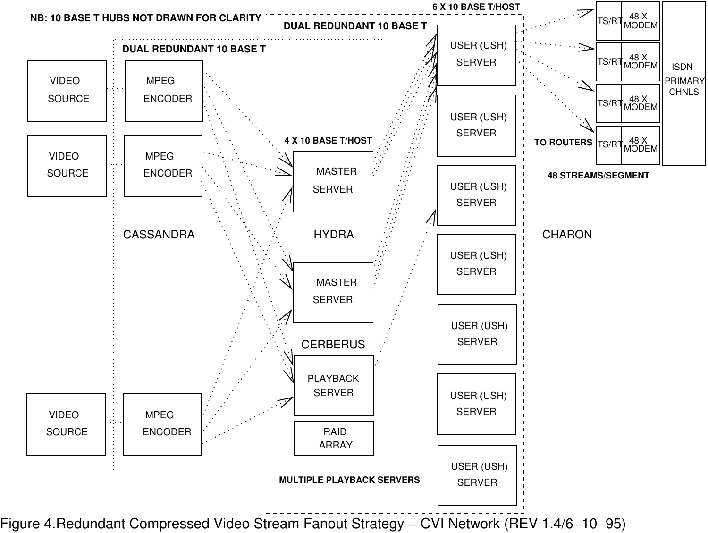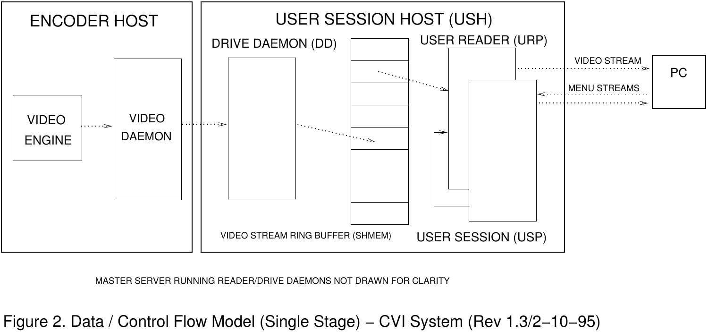

MASTER SERVER RUNNING READER/DRIVE DAEMONS NOT DRAWN FOR CLARITY

Figure 2. Data / Control Flow Model (Single Stage) − CVI System (Rev 1.3/2−10−95)